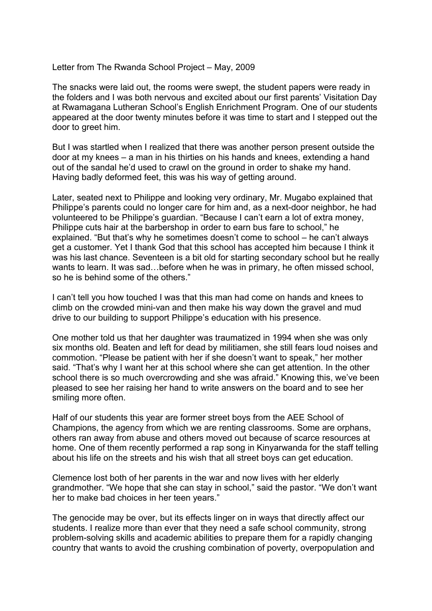Letter from The Rwanda School Project – May, 2009

The snacks were laid out, the rooms were swept, the student papers were ready in the folders and I was both nervous and excited about our first parents' Visitation Day at Rwamagana Lutheran School's English Enrichment Program. One of our students appeared at the door twenty minutes before it was time to start and I stepped out the door to greet him.

But I was startled when I realized that there was another person present outside the door at my knees – a man in his thirties on his hands and knees, extending a hand out of the sandal he'd used to crawl on the ground in order to shake my hand. Having badly deformed feet, this was his way of getting around.

Later, seated next to Philippe and looking very ordinary, Mr. Mugabo explained that Philippe's parents could no longer care for him and, as a next-door neighbor, he had volunteered to be Philippe's guardian. "Because I can't earn a lot of extra money, Philippe cuts hair at the barbershop in order to earn bus fare to school," he explained. "But that's why he sometimes doesn't come to school – he can't always get a customer. Yet I thank God that this school has accepted him because I think it was his last chance. Seventeen is a bit old for starting secondary school but he really wants to learn. It was sad…before when he was in primary, he often missed school, so he is behind some of the others."

I can't tell you how touched I was that this man had come on hands and knees to climb on the crowded mini-van and then make his way down the gravel and mud drive to our building to support Philippe's education with his presence.

One mother told us that her daughter was traumatized in 1994 when she was only six months old. Beaten and left for dead by militiamen, she still fears loud noises and commotion. "Please be patient with her if she doesn't want to speak," her mother said. "That's why I want her at this school where she can get attention. In the other school there is so much overcrowding and she was afraid." Knowing this, we've been pleased to see her raising her hand to write answers on the board and to see her smiling more often.

Half of our students this year are former street boys from the AEE School of Champions, the agency from which we are renting classrooms. Some are orphans, others ran away from abuse and others moved out because of scarce resources at home. One of them recently performed a rap song in Kinyarwanda for the staff telling about his life on the streets and his wish that all street boys can get education.

Clemence lost both of her parents in the war and now lives with her elderly grandmother. "We hope that she can stay in school," said the pastor. "We don't want her to make bad choices in her teen years."

The genocide may be over, but its effects linger on in ways that directly affect our students. I realize more than ever that they need a safe school community, strong problem-solving skills and academic abilities to prepare them for a rapidly changing country that wants to avoid the crushing combination of poverty, overpopulation and